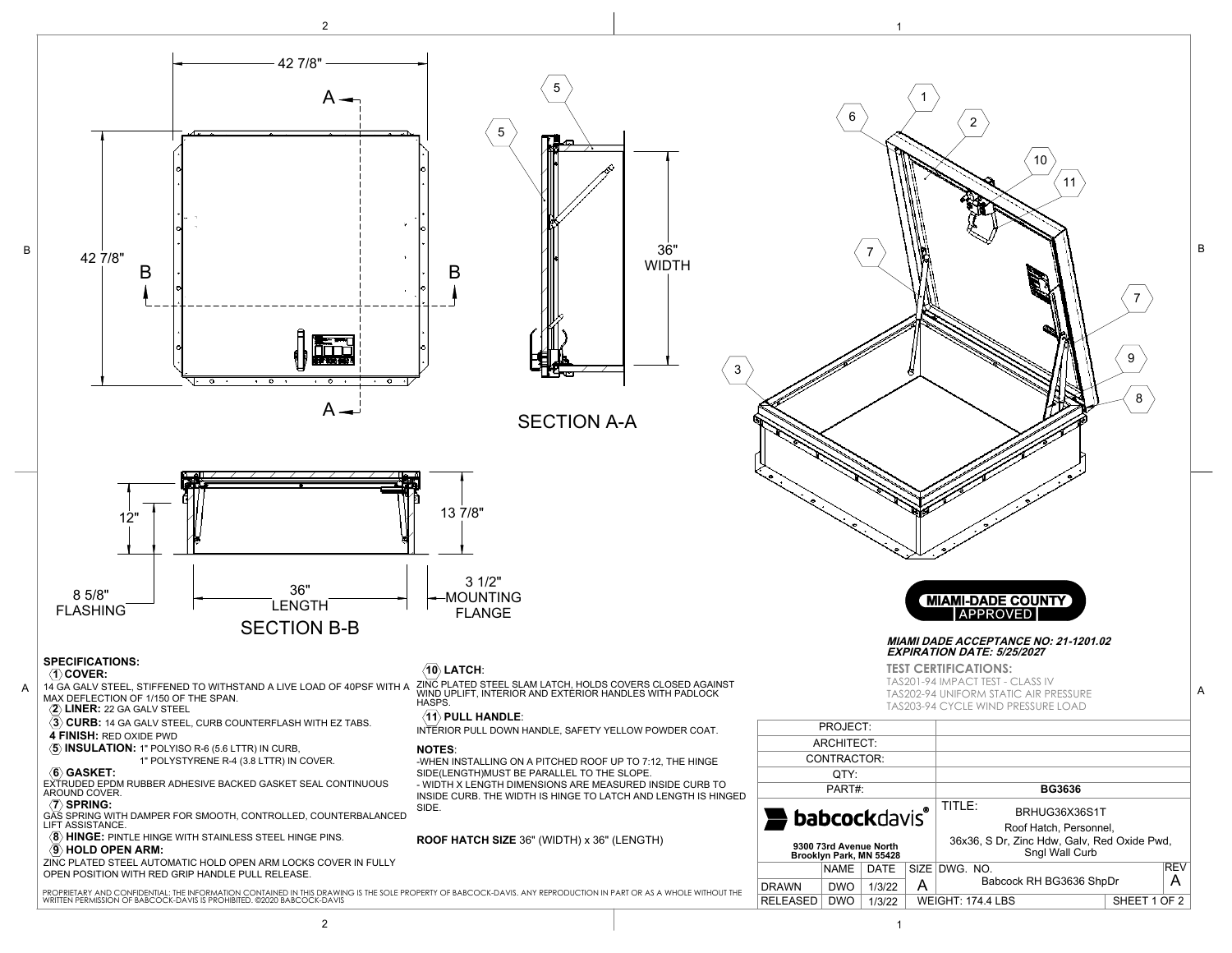